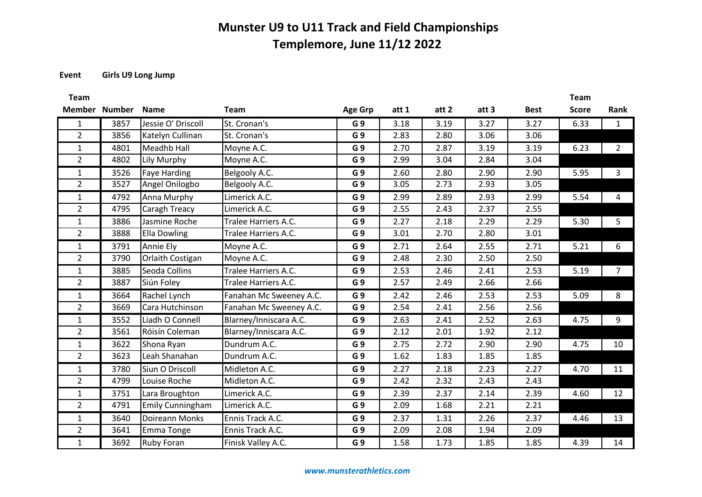#### **Event Girls U9 Long Jump**

| <b>Team</b>    |      |                         |                         |                |       |       |       |             | <b>Team</b>  |                |
|----------------|------|-------------------------|-------------------------|----------------|-------|-------|-------|-------------|--------------|----------------|
| Member Number  |      | Name                    | <b>Team</b>             | <b>Age Grp</b> | att 1 | att 2 | att 3 | <b>Best</b> | <b>Score</b> | Rank           |
| $\mathbf{1}$   | 3857 | Jessie O' Driscoll      | St. Cronan's            | G <sub>9</sub> | 3.18  | 3.19  | 3.27  | 3.27        | 6.33         | $\mathbf{1}$   |
| $\overline{2}$ | 3856 | Katelyn Cullinan        | St. Cronan's            | G <sub>9</sub> | 2.83  | 2.80  | 3.06  | 3.06        |              |                |
| $\mathbf{1}$   | 4801 | <b>Meadhb Hall</b>      | Moyne A.C.              | G 9            | 2.70  | 2.87  | 3.19  | 3.19        | 6.23         | $\overline{2}$ |
| $\overline{2}$ | 4802 | Lily Murphy             | Moyne A.C.              | G 9            | 2.99  | 3.04  | 2.84  | 3.04        |              |                |
| $\mathbf{1}$   | 3526 | <b>Faye Harding</b>     | Belgooly A.C.           | G <sub>9</sub> | 2.60  | 2.80  | 2.90  | 2.90        | 5.95         | 3              |
| $\overline{2}$ | 3527 | Angel Onilogbo          | Belgooly A.C.           | G <sub>9</sub> | 3.05  | 2.73  | 2.93  | 3.05        |              |                |
| $\mathbf{1}$   | 4792 | Anna Murphy             | Limerick A.C.           | G <sub>9</sub> | 2.99  | 2.89  | 2.93  | 2.99        | 5.54         | 4              |
| $\overline{2}$ | 4795 | Caragh Treacy           | Limerick A.C.           | G 9            | 2.55  | 2.43  | 2.37  | 2.55        |              |                |
| $\mathbf{1}$   | 3886 | Jasmine Roche           | Tralee Harriers A.C.    | G9             | 2.27  | 2.18  | 2.29  | 2.29        | 5.30         | 5              |
| $\overline{2}$ | 3888 | <b>Ella Dowling</b>     | Tralee Harriers A.C.    | G <sub>9</sub> | 3.01  | 2.70  | 2.80  | 3.01        |              |                |
| $\mathbf{1}$   | 3791 | Annie Ely               | Moyne A.C.              | G <sub>9</sub> | 2.71  | 2.64  | 2.55  | 2.71        | 5.21         | 6              |
| $\overline{2}$ | 3790 | Orlaith Costigan        | Moyne A.C.              | G 9            | 2.48  | 2.30  | 2.50  | 2.50        |              |                |
| $\mathbf{1}$   | 3885 | Seoda Collins           | Tralee Harriers A.C.    | G <sub>9</sub> | 2.53  | 2.46  | 2.41  | 2.53        | 5.19         | $\overline{7}$ |
| $\overline{2}$ | 3887 | Siún Foley              | Tralee Harriers A.C.    | G <sub>9</sub> | 2.57  | 2.49  | 2.66  | 2.66        |              |                |
| $\mathbf{1}$   | 3664 | Rachel Lynch            | Fanahan Mc Sweeney A.C. | G 9            | 2.42  | 2.46  | 2.53  | 2.53        | 5.09         | 8              |
| $\overline{2}$ | 3669 | Cara Hutchinson         | Fanahan Mc Sweeney A.C. | G <sub>9</sub> | 2.54  | 2.41  | 2.56  | 2.56        |              |                |
| $\mathbf{1}$   | 3552 | Liadh O Connell         | Blarney/Inniscara A.C.  | G <sub>9</sub> | 2.63  | 2.41  | 2.52  | 2.63        | 4.75         | 9              |
| $\overline{2}$ | 3561 | Róisín Coleman          | Blarney/Inniscara A.C.  | G <sub>9</sub> | 2.12  | 2.01  | 1.92  | 2.12        |              |                |
| $\mathbf{1}$   | 3622 | Shona Ryan              | Dundrum A.C.            | G <sub>9</sub> | 2.75  | 2.72  | 2.90  | 2.90        | 4.75         | 10             |
| $\overline{2}$ | 3623 | Leah Shanahan           | Dundrum A.C.            | G 9            | 1.62  | 1.83  | 1.85  | 1.85        |              |                |
| $\mathbf{1}$   | 3780 | Siun O Driscoll         | Midleton A.C.           | G <sub>9</sub> | 2.27  | 2.18  | 2.23  | 2.27        | 4.70         | 11             |
| $\overline{2}$ | 4799 | Louise Roche            | Midleton A.C.           | G <sub>9</sub> | 2.42  | 2.32  | 2.43  | 2.43        |              |                |
| $\mathbf{1}$   | 3751 | Lara Broughton          | Limerick A.C.           | G <sub>9</sub> | 2.39  | 2.37  | 2.14  | 2.39        | 4.60         | 12             |
| $\overline{2}$ | 4791 | <b>Emily Cunningham</b> | Limerick A.C.           | G 9            | 2.09  | 1.68  | 2.21  | 2.21        |              |                |
| $\mathbf{1}$   | 3640 | Doireann Monks          | Ennis Track A.C.        | G <sub>9</sub> | 2.37  | 1.31  | 2.26  | 2.37        | 4.46         | 13             |
| $\overline{2}$ | 3641 | Emma Tonge              | Ennis Track A.C.        | G 9            | 2.09  | 2.08  | 1.94  | 2.09        |              |                |
| $\mathbf{1}$   | 3692 | <b>Ruby Foran</b>       | Finisk Valley A.C.      | G <sub>9</sub> | 1.58  | 1.73  | 1.85  | 1.85        | 4.39         | 14             |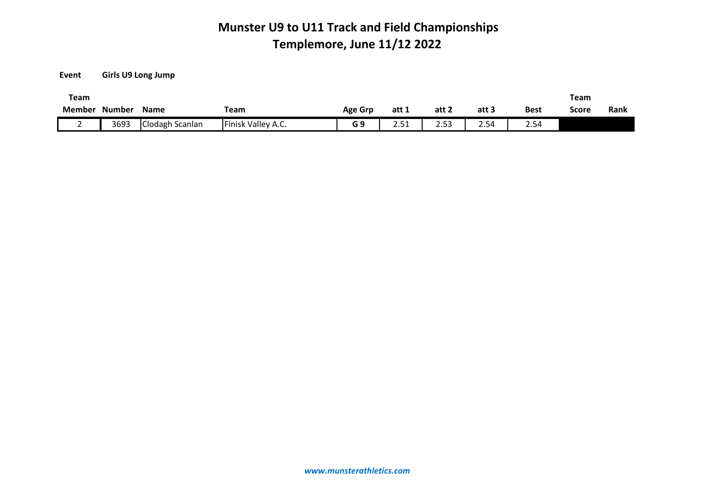**Event Girls U9 Long Jump**

| Team   |               |                 |                    |                |                         |                        |       |             | Team  |      |
|--------|---------------|-----------------|--------------------|----------------|-------------------------|------------------------|-------|-------------|-------|------|
| Member | <b>Number</b> | <b>Name</b>     | Team               | <b>Age Grp</b> | att 1                   | att 2                  | att 3 | <b>Best</b> | Score | Rank |
|        | 3693          | Clodagh Scanlan | Finisk Valley A.C. | G 9            | $\sim$ $ \sim$<br>ـ د.ع | $\sim$ $ \sim$<br>2.53 | 2.54  | .<br>2.54   |       |      |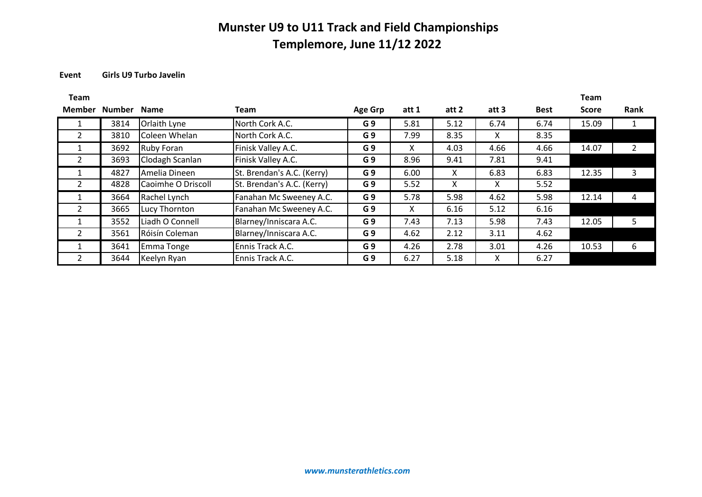#### **Event Girls U9 Turbo Javelin**

| Team           |             |                     |                            |                |       |       |       |             | <b>Team</b>  |      |
|----------------|-------------|---------------------|----------------------------|----------------|-------|-------|-------|-------------|--------------|------|
| Member         | Number Name |                     | Team                       | <b>Age Grp</b> | att 1 | att 2 | att 3 | <b>Best</b> | <b>Score</b> | Rank |
|                | 3814        | <b>Orlaith Lyne</b> | North Cork A.C.            | G <sub>9</sub> | 5.81  | 5.12  | 6.74  | 6.74        | 15.09        |      |
| 2              | 3810        | Coleen Whelan       | North Cork A.C.            | G <sub>9</sub> | 7.99  | 8.35  | X.    | 8.35        |              |      |
|                | 3692        | Ruby Foran          | Finisk Valley A.C.         | G <sub>9</sub> | X.    | 4.03  | 4.66  | 4.66        | 14.07        |      |
| $\mathfrak{D}$ | 3693        | Clodagh Scanlan     | Finisk Valley A.C.         | G <sub>9</sub> | 8.96  | 9.41  | 7.81  | 9.41        |              |      |
|                | 4827        | Amelia Dineen       | St. Brendan's A.C. (Kerry) | G <sub>9</sub> | 6.00  | X     | 6.83  | 6.83        | 12.35        | 3    |
| 2              | 4828        | Caoimhe O Driscoll  | St. Brendan's A.C. (Kerry) | G <sub>9</sub> | 5.52  | X     | X.    | 5.52        |              |      |
|                | 3664        | Rachel Lynch        | Fanahan Mc Sweeney A.C.    | G <sub>9</sub> | 5.78  | 5.98  | 4.62  | 5.98        | 12.14        | 4    |
| $\mathcal{L}$  | 3665        | Lucy Thornton       | Fanahan Mc Sweeney A.C.    | G <sub>9</sub> | X     | 6.16  | 5.12  | 6.16        |              |      |
|                | 3552        | Liadh O Connell     | Blarney/Inniscara A.C.     | G <sub>9</sub> | 7.43  | 7.13  | 5.98  | 7.43        | 12.05        | 5    |
| $\mathcal{P}$  | 3561        | Róisín Coleman      | Blarney/Inniscara A.C.     | G <sub>9</sub> | 4.62  | 2.12  | 3.11  | 4.62        |              |      |
|                | 3641        | Emma Tonge          | Ennis Track A.C.           | G <sub>9</sub> | 4.26  | 2.78  | 3.01  | 4.26        | 10.53        | 6    |
| $\mathcal{P}$  | 3644        | Keelyn Ryan         | Ennis Track A.C.           | G <sub>9</sub> | 6.27  | 5.18  | X.    | 6.27        |              |      |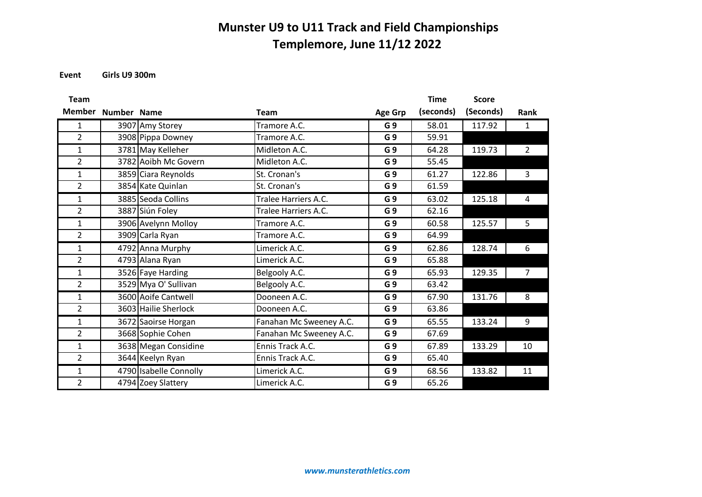**Event Girls U9 300m**

| <b>Team</b>    |             |                        |                         |                | <b>Time</b> | <b>Score</b> |                |
|----------------|-------------|------------------------|-------------------------|----------------|-------------|--------------|----------------|
| <b>Member</b>  | Number Name |                        | <b>Team</b>             | <b>Age Grp</b> | (seconds)   | (Seconds)    | Rank           |
| 1              |             | 3907 Amy Storey        | Tramore A.C.            | G <sub>9</sub> | 58.01       | 117.92       | 1              |
| $\overline{2}$ |             | 3908 Pippa Downey      | Tramore A.C.            | G <sub>9</sub> | 59.91       |              |                |
| $\mathbf{1}$   |             | 3781 May Kelleher      | Midleton A.C.           | G <sub>9</sub> | 64.28       | 119.73       | $\overline{2}$ |
| $\overline{2}$ |             | 3782 Aoibh Mc Govern   | Midleton A.C.           | G <sub>9</sub> | 55.45       |              |                |
| $\mathbf{1}$   |             | 3859 Ciara Reynolds    | St. Cronan's            | G <sub>9</sub> | 61.27       | 122.86       | 3              |
| $\overline{2}$ |             | 3854 Kate Quinlan      | St. Cronan's            | G <sub>9</sub> | 61.59       |              |                |
| $\mathbf{1}$   |             | 3885 Seoda Collins     | Tralee Harriers A.C.    | G <sub>9</sub> | 63.02       | 125.18       | 4              |
| $\overline{2}$ |             | 3887 Siún Foley        | Tralee Harriers A.C.    | G <sub>9</sub> | 62.16       |              |                |
| $\mathbf{1}$   |             | 3906 Avelynn Molloy    | Tramore A.C.            | G <sub>9</sub> | 60.58       | 125.57       | 5              |
| $\overline{2}$ |             | 3909 Carla Ryan        | Tramore A.C.            | G <sub>9</sub> | 64.99       |              |                |
| $\mathbf{1}$   |             | 4792 Anna Murphy       | Limerick A.C.           | G <sub>9</sub> | 62.86       | 128.74       | 6              |
| $\overline{2}$ |             | 4793 Alana Ryan        | Limerick A.C.           | G <sub>9</sub> | 65.88       |              |                |
| $\mathbf{1}$   |             | 3526 Faye Harding      | Belgooly A.C.           | G <sub>9</sub> | 65.93       | 129.35       | $\overline{7}$ |
| $\overline{2}$ |             | 3529 Mya O' Sullivan   | Belgooly A.C.           | G <sub>9</sub> | 63.42       |              |                |
| $\mathbf{1}$   |             | 3600 Aoife Cantwell    | Dooneen A.C.            | G <sub>9</sub> | 67.90       | 131.76       | 8              |
| $\overline{2}$ |             | 3603 Hailie Sherlock   | Dooneen A.C.            | G <sub>9</sub> | 63.86       |              |                |
| $\mathbf{1}$   |             | 3672 Saoirse Horgan    | Fanahan Mc Sweeney A.C. | G <sub>9</sub> | 65.55       | 133.24       | 9              |
| $\overline{2}$ |             | 3668 Sophie Cohen      | Fanahan Mc Sweeney A.C. | G <sub>9</sub> | 67.69       |              |                |
| 1              |             | 3638 Megan Considine   | Ennis Track A.C.        | G <sub>9</sub> | 67.89       | 133.29       | 10             |
| $\overline{2}$ |             | 3644 Keelyn Ryan       | Ennis Track A.C.        | G <sub>9</sub> | 65.40       |              |                |
| $\mathbf{1}$   |             | 4790 Isabelle Connolly | Limerick A.C.           | G <sub>9</sub> | 68.56       | 133.82       | 11             |
| $\overline{2}$ |             | 4794 Zoey Slattery     | Limerick A.C.           | G <sub>9</sub> | 65.26       |              |                |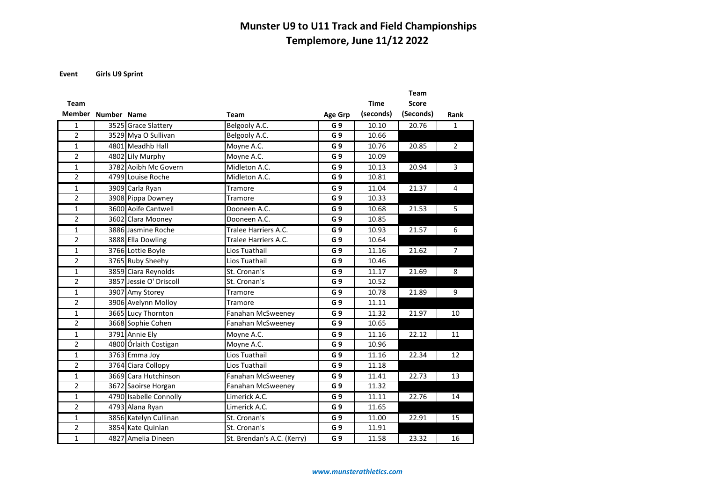**Event Girls U9 Sprint**

|                    |                         |                            |                |             | <b>Team</b>  |                |
|--------------------|-------------------------|----------------------------|----------------|-------------|--------------|----------------|
| <b>Team</b>        |                         |                            |                | <b>Time</b> | <b>Score</b> |                |
| Member Number Name |                         | Team                       | <b>Age Grp</b> | (seconds)   | (Seconds)    | Rank           |
| 1                  | 3525 Grace Slattery     | Belgooly A.C.              | G <sub>9</sub> | 10.10       | 20.76        | $\mathbf{1}$   |
| $\overline{2}$     | 3529 Mya O Sullivan     | Belgooly A.C.              | G <sub>9</sub> | 10.66       |              |                |
| 1                  | 4801 Meadhb Hall        | Moyne A.C.                 | G <sub>9</sub> | 10.76       | 20.85        | $\overline{2}$ |
| $\overline{2}$     | 4802 Lily Murphy        | Moyne A.C.                 | G <sub>9</sub> | 10.09       |              |                |
| 1                  | 3782 Aoibh Mc Govern    | Midleton A.C.              | G <sub>9</sub> | 10.13       | 20.94        | 3              |
| $\overline{2}$     | 4799 Louise Roche       | Midleton A.C.              | G <sub>9</sub> | 10.81       |              |                |
| 1                  | 3909 Carla Ryan         | Tramore                    | G <sub>9</sub> | 11.04       | 21.37        | 4              |
| $\overline{2}$     | 3908 Pippa Downey       | Tramore                    | G <sub>9</sub> | 10.33       |              |                |
| 1                  | 3600 Aoife Cantwell     | Dooneen A.C.               | G <sub>9</sub> | 10.68       | 21.53        | 5              |
| $\overline{2}$     | 3602 Clara Mooney       | Dooneen A.C.               | G <sub>9</sub> | 10.85       |              |                |
| $\mathbf{1}$       | 3886 Jasmine Roche      | Tralee Harriers A.C.       | G <sub>9</sub> | 10.93       | 21.57        | 6              |
| $\overline{2}$     | 3888 Ella Dowling       | Tralee Harriers A.C.       | G <sub>9</sub> | 10.64       |              |                |
| $\mathbf{1}$       | 3766 Lottie Boyle       | Lios Tuathail              | G <sub>9</sub> | 11.16       | 21.62        | $7^{\circ}$    |
| $\overline{2}$     | 3765 Ruby Sheehy        | Lios Tuathail              | G <sub>9</sub> | 10.46       |              |                |
| 1                  | 3859 Ciara Reynolds     | St. Cronan's               | G <sub>9</sub> | 11.17       | 21.69        | 8              |
| $\overline{2}$     | 3857 Jessie O' Driscoll | St. Cronan's               | G <sub>9</sub> | 10.52       |              |                |
| 1                  | 3907 Amy Storey         | Tramore                    | G <sub>9</sub> | 10.78       | 21.89        | 9              |
| $\overline{2}$     | 3906 Avelynn Molloy     | Tramore                    | G <sub>9</sub> | 11.11       |              |                |
| $\mathbf{1}$       | 3665 Lucy Thornton      | Fanahan McSweeney          | G <sub>9</sub> | 11.32       | 21.97        | 10             |
| $\overline{2}$     | 3668 Sophie Cohen       | Fanahan McSweeney          | G <sub>9</sub> | 10.65       |              |                |
| $\mathbf{1}$       | 3791 Annie Ely          | Moyne A.C.                 | G <sub>9</sub> | 11.16       | 22.12        | 11             |
| $\overline{2}$     | 4800 Órlaith Costigan   | Moyne A.C.                 | G <sub>9</sub> | 10.96       |              |                |
| $\mathbf{1}$       | 3763 Emma Joy           | Lios Tuathail              | G <sub>9</sub> | 11.16       | 22.34        | 12             |
| $\overline{2}$     | 3764 Ciara Collopy      | Lios Tuathail              | G <sub>9</sub> | 11.18       |              |                |
| 1                  | 3669 Cara Hutchinson    | Fanahan McSweeney          | G <sub>9</sub> | 11.41       | 22.73        | 13             |
| $\overline{2}$     | 3672 Saoirse Horgan     | Fanahan McSweeney          | G <sub>9</sub> | 11.32       |              |                |
| 1                  | 4790 Isabelle Connolly  | Limerick A.C.              | G <sub>9</sub> | 11.11       | 22.76        | 14             |
| $\overline{2}$     | 4793 Alana Ryan         | Limerick A.C.              | G <sub>9</sub> | 11.65       |              |                |
| 1                  | 3856 Katelyn Cullinan   | St. Cronan's               | G <sub>9</sub> | 11.00       | 22.91        | 15             |
| $\overline{2}$     | 3854 Kate Quinlan       | St. Cronan's               | G <sub>9</sub> | 11.91       |              |                |
| $\mathbf{1}$       | 4827 Amelia Dineen      | St. Brendan's A.C. (Kerry) | G <sub>9</sub> | 11.58       | 23.32        | 16             |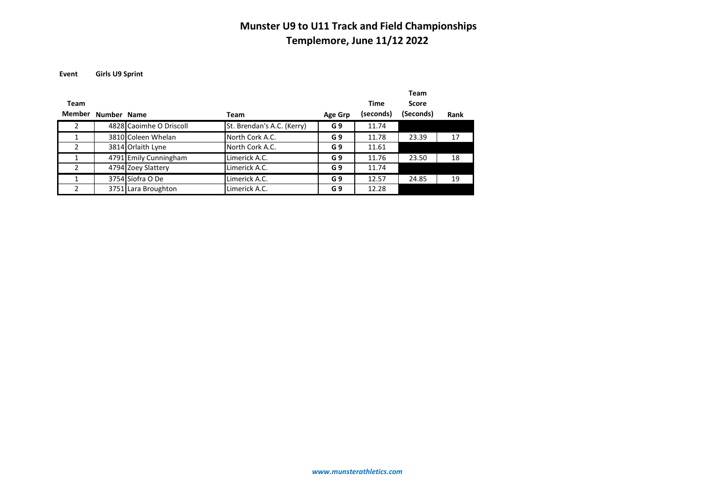**Event Girls U9 Sprint**

|               |             |                         |                            |                |           | <b>Team</b> |      |
|---------------|-------------|-------------------------|----------------------------|----------------|-----------|-------------|------|
| Team          |             |                         |                            |                | Time      | Score       |      |
| <b>Member</b> | Number Name |                         | Team                       | Age Grp        | (seconds) | (Seconds)   | Rank |
| 2             |             | 4828 Caoimhe O Driscoll | St. Brendan's A.C. (Kerry) | G <sub>9</sub> | 11.74     |             |      |
| 1             |             | 3810 Coleen Whelan      | North Cork A.C.            | G <sub>9</sub> | 11.78     | 23.39       | 17   |
| 2             |             | 3814 Orlaith Lyne       | North Cork A.C.            | G <sub>9</sub> | 11.61     |             |      |
|               |             | 4791 Emily Cunningham   | Limerick A.C.              | G <sub>9</sub> | 11.76     | 23.50       | 18   |
| $\mathcal{P}$ |             | 4794 Zoey Slattery      | Limerick A.C.              | G <sub>9</sub> | 11.74     |             |      |
|               |             | 3754 Síofra O De        | Limerick A.C.              | G <sub>9</sub> | 12.57     | 24.85       | 19   |
|               |             | 3751 Lara Broughton     | Limerick A.C.              | G <sub>9</sub> | 12.28     |             |      |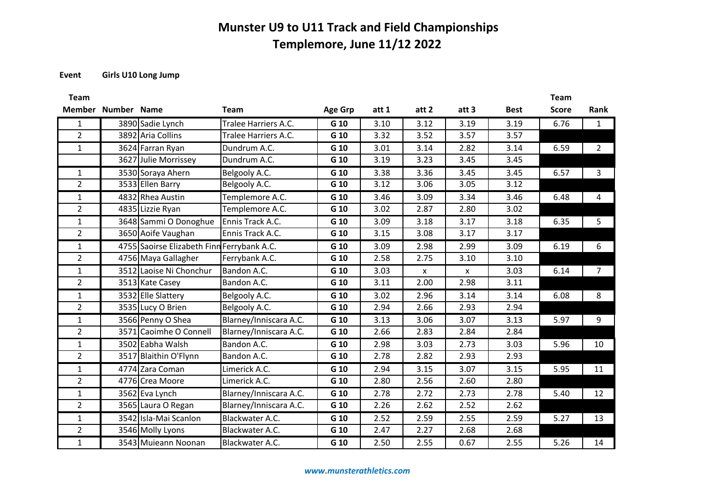#### **Event Girls U10 Long Jump**

| Team           |                                            |                        |                |       |              |       |             | Team         |                         |
|----------------|--------------------------------------------|------------------------|----------------|-------|--------------|-------|-------------|--------------|-------------------------|
|                | Member Number Name                         | <b>Team</b>            | <b>Age Grp</b> | att 1 | att 2        | att 3 | <b>Best</b> | <b>Score</b> | Rank                    |
|                | 3890 Sadie Lynch                           | Tralee Harriers A.C.   | G 10           | 3.10  | 3.12         | 3.19  | 3.19        | 6.76         | $\overline{1}$          |
| $\overline{2}$ | 3892 Aria Collins                          | Tralee Harriers A.C.   | G 10           | 3.32  | 3.52         | 3.57  | 3.57        |              |                         |
| 1              | 3624 Farran Ryan                           | Dundrum A.C.           | G 10           | 3.01  | 3.14         | 2.82  | 3.14        | 6.59         | $\overline{\mathbf{2}}$ |
|                | 3627 Julie Morrissey                       | Dundrum A.C.           | G 10           | 3.19  | 3.23         | 3.45  | 3.45        |              |                         |
| 1              | 3530 Soraya Ahern                          | Belgooly A.C.          | G 10           | 3.38  | 3.36         | 3.45  | 3.45        | 6.57         | $\overline{\mathbf{3}}$ |
| $\overline{2}$ | 3533 Ellen Barry                           | Belgooly A.C.          | G 10           | 3.12  | 3.06         | 3.05  | 3.12        |              |                         |
| $\mathbf{1}$   | $\overline{4832}$ Rhea Austin              | Templemore A.C.        | G 10           | 3.46  | 3.09         | 3.34  | 3.46        | 6.48         | $\overline{4}$          |
| $\overline{2}$ | 4835 Lizzie Ryan                           | Templemore A.C.        | G 10           | 3.02  | 2.87         | 2.80  | 3.02        |              |                         |
| $\mathbf{1}$   | 3648 Sammi O Donoghue                      | Ennis Track A.C.       | G 10           | 3.09  | 3.18         | 3.17  | 3.18        | 6.35         | $5^{\circ}$             |
| $\overline{2}$ | 3650 Aoife Vaughan                         | Ennis Track A.C.       | G 10           | 3.15  | 3.08         | 3.17  | 3.17        |              |                         |
| $\mathbf{1}$   | 4755 Saoirse Elizabeth Finn Ferrybank A.C. |                        | G 10           | 3.09  | 2.98         | 2.99  | 3.09        | 6.19         | 6                       |
| $\overline{2}$ | 4756 Maya Gallagher                        | Ferrybank A.C.         | G 10           | 2.58  | 2.75         | 3.10  | 3.10        |              |                         |
| 1              | 3512 Laoise Ni Chonchur                    | Bandon A.C.            | G 10           | 3.03  | $\mathbf{x}$ | X     | 3.03        | 6.14         | $\overline{7}$          |
| $\overline{2}$ | 3513 Kate Casey                            | Bandon A.C.            | G 10           | 3.11  | 2.00         | 2.98  | 3.11        |              |                         |
| 1              | 3532 Elle Slattery                         | Belgooly A.C.          | G 10           | 3.02  | 2.96         | 3.14  | 3.14        | 6.08         | 8 <sup>8</sup>          |
| $\overline{2}$ | 3535 Lucy O Brien                          | Belgooly A.C.          | G 10           | 2.94  | 2.66         | 2.93  | 2.94        |              |                         |
| -1             | 3566 Penny O Shea                          | Blarney/Inniscara A.C. | G 10           | 3.13  | 3.06         | 3.07  | 3.13        | 5.97         | 9                       |
| $\overline{2}$ | 3571 Caoimhe O Connell                     | Blarney/Inniscara A.C. | G 10           | 2.66  | 2.83         | 2.84  | 2.84        |              |                         |
| $\mathbf{1}$   | 3502 Eabha Walsh                           | Bandon A.C.            | G 10           | 2.98  | 3.03         | 2.73  | 3.03        | 5.96         | 10                      |
| $\overline{2}$ | 3517 Blaithin O'Flynn                      | Bandon A.C.            | G 10           | 2.78  | 2.82         | 2.93  | 2.93        |              |                         |
| 1              | $\overline{4774}$ Zara Coman               | Limerick A.C.          | G 10           | 2.94  | 3.15         | 3.07  | 3.15        | 5.95         | 11                      |
| $\overline{2}$ | 4776 Crea Moore                            | Limerick A.C.          | G 10           | 2.80  | 2.56         | 2.60  | 2.80        |              |                         |
| $\mathbf{1}$   | 3562 Eva Lynch                             | Blarney/Inniscara A.C. | G 10           | 2.78  | 2.72         | 2.73  | 2.78        | 5.40         | 12                      |
| $\overline{2}$ | 3565 Laura O Regan                         | Blarney/Inniscara A.C. | G 10           | 2.26  | 2.62         | 2.52  | 2.62        |              |                         |
| $\mathbf{1}$   | 3542 Isla-Mai Scanlon                      | Blackwater A.C.        | G 10           | 2.52  | 2.59         | 2.55  | 2.59        | 5.27         | 13                      |
| 2              | 3546 Molly Lyons                           | Blackwater A.C.        | G 10           | 2.47  | 2.27         | 2.68  | 2.68        |              |                         |
|                | 3543 Muieann Noonan                        | Blackwater A.C.        | G 10           | 2.50  | 2.55         | 0.67  | 2.55        | $5.26$       | 14                      |
|                |                                            |                        |                |       |              |       |             |              |                         |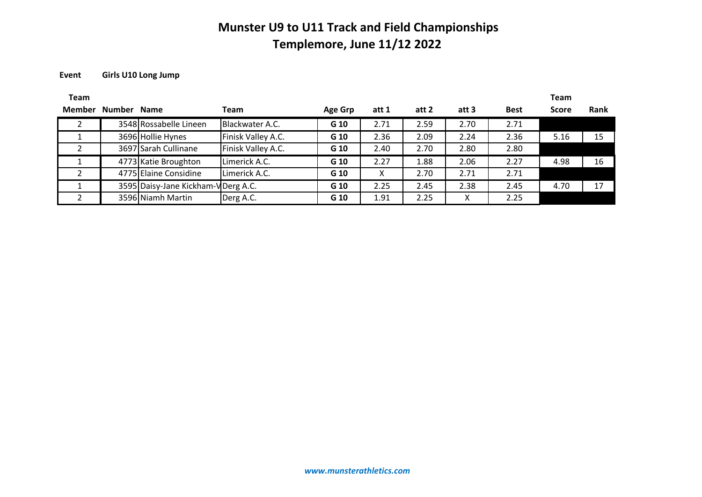#### **Event Girls U10 Long Jump**

| <b>Team</b> |                    |                                     |                    |         |       |       |       |             | <b>Team</b>  |      |
|-------------|--------------------|-------------------------------------|--------------------|---------|-------|-------|-------|-------------|--------------|------|
|             | Member Number Name |                                     | <b>Team</b>        | Age Grp | att 1 | att 2 | att 3 | <b>Best</b> | <b>Score</b> | Rank |
|             |                    | 3548 Rossabelle Lineen              | Blackwater A.C.    | G 10    | 2.71  | 2.59  | 2.70  | 2.71        |              |      |
|             |                    | 3696 Hollie Hynes                   | Finisk Valley A.C. | G 10    | 2.36  | 2.09  | 2.24  | 2.36        | 5.16         | 15   |
|             |                    | 3697 Sarah Cullinane                | Finisk Valley A.C. | G 10    | 2.40  | 2.70  | 2.80  | 2.80        |              |      |
|             |                    | 4773 Katie Broughton                | Limerick A.C.      | G 10    | 2.27  | 1.88  | 2.06  | 2.27        | 4.98         | 16   |
|             |                    | 4775 Elaine Considine               | Limerick A.C.      | G 10    | x     | 2.70  | 2.71  | 2.71        |              |      |
|             |                    | 3595 Daisy-Jane Kickham-V Derg A.C. |                    | G 10    | 2.25  | 2.45  | 2.38  | 2.45        | 4.70         | 17   |
|             |                    | 3596 Niamh Martin                   | Derg A.C.          | G 10    | 1.91  | 2.25  | x     | 2.25        |              |      |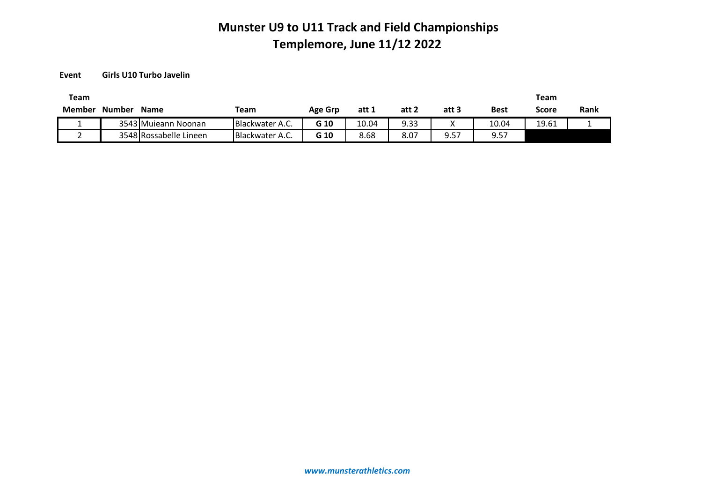**Event Girls U10 Turbo Javelin**

| Team   |               |                        |                 |                |       |       |       |             | Team  |      |
|--------|---------------|------------------------|-----------------|----------------|-------|-------|-------|-------------|-------|------|
| Member | <b>Number</b> | <b>Name</b>            | Team            | <b>Age Grp</b> | att 1 | att 2 | att 3 | <b>Best</b> | Score | Rank |
|        |               | 3543 Mujeann Noonan    | Blackwater A.C. | G 10           | 10.04 | 9.33  |       | 10.04       | 19.61 |      |
|        |               | 3548 Rossabelle Lineen | Blackwater A.C. | G 10           | 8.68  | 8.07  | 9.57  | 9.57        |       |      |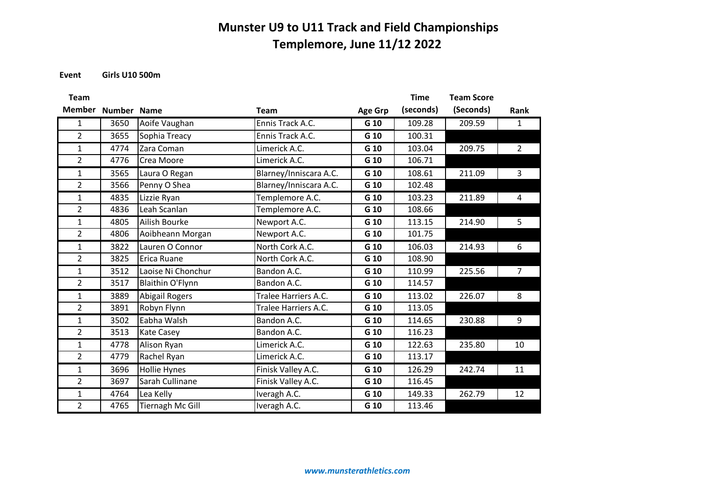**Event Girls U10 500m**

| <b>Team</b>    |             |                       |                             |                | <b>Time</b> | <b>Team Score</b> |                |
|----------------|-------------|-----------------------|-----------------------------|----------------|-------------|-------------------|----------------|
| <b>Member</b>  | Number Name |                       | <b>Team</b>                 | <b>Age Grp</b> | (seconds)   | (Seconds)         | Rank           |
| 1              | 3650        | Aoife Vaughan         | Ennis Track A.C.            | G 10           | 109.28      | 209.59            | $\mathbf{1}$   |
| $\overline{2}$ | 3655        | Sophia Treacy         | Ennis Track A.C.            | G 10           | 100.31      |                   |                |
| $\mathbf{1}$   | 4774        | Zara Coman            | Limerick A.C.               | G 10           | 103.04      | 209.75            | $\overline{2}$ |
| $\overline{2}$ | 4776        | Crea Moore            | Limerick A.C.               | G 10           | 106.71      |                   |                |
| $\mathbf{1}$   | 3565        | Laura O Regan         | Blarney/Inniscara A.C.      | G 10           | 108.61      | 211.09            | 3              |
| $\overline{2}$ | 3566        | Penny O Shea          | Blarney/Inniscara A.C.      | G 10           | 102.48      |                   |                |
| $\mathbf{1}$   | 4835        | Lizzie Ryan           | Templemore A.C.             | G 10           | 103.23      | 211.89            | 4              |
| $\overline{2}$ | 4836        | Leah Scanlan          | Templemore A.C.             | G 10           | 108.66      |                   |                |
| 1              | 4805        | Ailish Bourke         | Newport A.C.                | G 10           | 113.15      | 214.90            | 5              |
| $\overline{2}$ | 4806        | Aoibheann Morgan      | Newport A.C.                | G 10           | 101.75      |                   |                |
| $\mathbf{1}$   | 3822        | Lauren O Connor       | North Cork A.C.             | G 10           | 106.03      | 214.93            | 6              |
| $\overline{2}$ | 3825        | Erica Ruane           | North Cork A.C.             | G 10           | 108.90      |                   |                |
| $\mathbf{1}$   | 3512        | Laoise Ni Chonchur    | Bandon A.C.                 | G 10           | 110.99      | 225.56            | $\overline{7}$ |
| $\overline{2}$ | 3517        | Blaithin O'Flynn      | Bandon A.C.                 | G 10           | 114.57      |                   |                |
| $\mathbf{1}$   | 3889        | <b>Abigail Rogers</b> | <b>Tralee Harriers A.C.</b> | G 10           | 113.02      | 226.07            | 8              |
| $\overline{2}$ | 3891        | Robyn Flynn           | Tralee Harriers A.C.        | G 10           | 113.05      |                   |                |
| $\mathbf{1}$   | 3502        | Eabha Walsh           | Bandon A.C.                 | G 10           | 114.65      | 230.88            | 9              |
| $\overline{2}$ | 3513        | <b>Kate Casey</b>     | Bandon A.C.                 | G 10           | 116.23      |                   |                |
| $\mathbf{1}$   | 4778        | Alison Ryan           | Limerick A.C.               | G 10           | 122.63      | 235.80            | 10             |
| $\overline{2}$ | 4779        | Rachel Ryan           | Limerick A.C.               | G 10           | 113.17      |                   |                |
| $\mathbf{1}$   | 3696        | Hollie Hynes          | Finisk Valley A.C.          | G 10           | 126.29      | 242.74            | 11             |
| $\overline{2}$ | 3697        | Sarah Cullinane       | Finisk Valley A.C.          | G 10           | 116.45      |                   |                |
| $\mathbf{1}$   | 4764        | Lea Kelly             | Iveragh A.C.                | G 10           | 149.33      | 262.79            | 12             |
| $\overline{2}$ | 4765        | Tiernagh Mc Gill      | Iveragh A.C.                | G 10           | 113.46      |                   |                |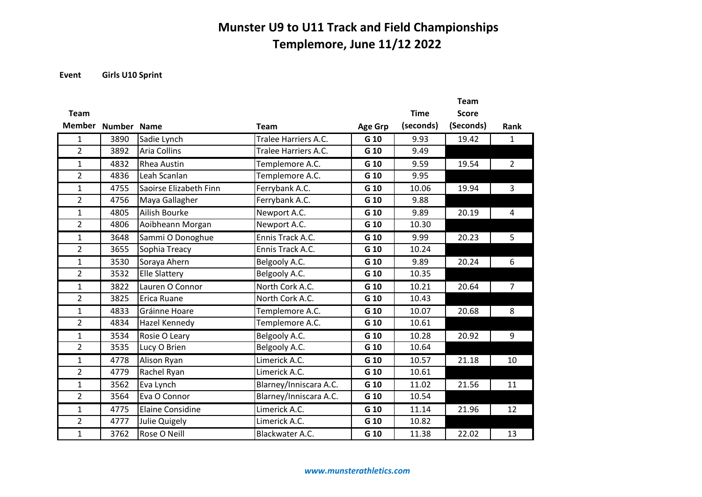**Event Girls U10 Sprint**

|                |             |                         |                        |                |             | <b>Team</b>  |                |
|----------------|-------------|-------------------------|------------------------|----------------|-------------|--------------|----------------|
| <b>Team</b>    |             |                         |                        |                | <b>Time</b> | <b>Score</b> |                |
| <b>Member</b>  | Number Name |                         | <b>Team</b>            | <b>Age Grp</b> | (seconds)   | (Seconds)    | Rank           |
| 1              | 3890        | Sadie Lynch             | Tralee Harriers A.C.   | G 10           | 9.93        | 19.42        | $\mathbf{1}$   |
| $\overline{2}$ | 3892        | <b>Aria Collins</b>     | Tralee Harriers A.C.   | G 10           | 9.49        |              |                |
| $\overline{1}$ | 4832        | <b>Rhea Austin</b>      | Templemore A.C.        | G 10           | 9.59        | 19.54        | $\overline{2}$ |
| $\overline{2}$ | 4836        | Leah Scanlan            | Templemore A.C.        | G 10           | 9.95        |              |                |
| 1              | 4755        | Saoirse Elizabeth Finn  | Ferrybank A.C.         | G 10           | 10.06       | 19.94        | 3              |
| $\overline{2}$ | 4756        | Maya Gallagher          | Ferrybank A.C.         | G 10           | 9.88        |              |                |
| $\mathbf{1}$   | 4805        | Ailish Bourke           | Newport A.C.           | G 10           | 9.89        | 20.19        | 4              |
| $\overline{2}$ | 4806        | Aoibheann Morgan        | Newport A.C.           | G 10           | 10.30       |              |                |
| 1              | 3648        | Sammi O Donoghue        | Ennis Track A.C.       | G 10           | 9.99        | 20.23        | 5              |
| $\overline{2}$ | 3655        | Sophia Treacy           | Ennis Track A.C.       | G 10           | 10.24       |              |                |
| $\mathbf{1}$   | 3530        | Soraya Ahern            | Belgooly A.C.          | G 10           | 9.89        | 20.24        | 6              |
| $\overline{2}$ | 3532        | <b>Elle Slattery</b>    | Belgooly A.C.          | G 10           | 10.35       |              |                |
| $\mathbf{1}$   | 3822        | Lauren O Connor         | North Cork A.C.        | G 10           | 10.21       | 20.64        | $\overline{7}$ |
| $\overline{2}$ | 3825        | Erica Ruane             | North Cork A.C.        | G 10           | 10.43       |              |                |
| $\mathbf{1}$   | 4833        | Gráinne Hoare           | Templemore A.C.        | G 10           | 10.07       | 20.68        | 8              |
| $\overline{2}$ | 4834        | Hazel Kennedy           | Templemore A.C.        | G 10           | 10.61       |              |                |
| $\mathbf{1}$   | 3534        | Rosie O Leary           | Belgooly A.C.          | G 10           | 10.28       | 20.92        | 9              |
| $\overline{2}$ | 3535        | Lucy O Brien            | Belgooly A.C.          | G 10           | 10.64       |              |                |
| $\mathbf{1}$   | 4778        | Alison Ryan             | Limerick A.C.          | G 10           | 10.57       | 21.18        | 10             |
| $\overline{2}$ | 4779        | Rachel Ryan             | Limerick A.C.          | G 10           | 10.61       |              |                |
| $\mathbf{1}$   | 3562        | Eva Lynch               | Blarney/Inniscara A.C. | G 10           | 11.02       | 21.56        | 11             |
| $\overline{2}$ | 3564        | Eva O Connor            | Blarney/Inniscara A.C. | G 10           | 10.54       |              |                |
| 1              | 4775        | <b>Elaine Considine</b> | Limerick A.C.          | G 10           | 11.14       | 21.96        | 12             |
| $\overline{2}$ | 4777        | Julie Quigely           | Limerick A.C.          | G 10           | 10.82       |              |                |
| $\mathbf{1}$   | 3762        | Rose O Neill            | Blackwater A.C.        | G 10           | 11.38       | 22.02        | 13             |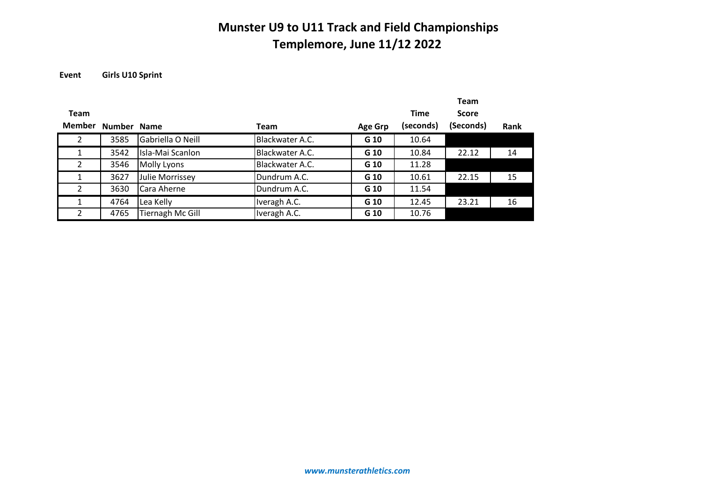**Event Girls U10 Sprint**

|                |             |                   |                 |                |             | <b>Team</b>  |      |
|----------------|-------------|-------------------|-----------------|----------------|-------------|--------------|------|
| <b>Team</b>    |             |                   |                 |                | <b>Time</b> | <b>Score</b> |      |
| <b>Member</b>  | Number Name |                   | <b>Team</b>     | <b>Age Grp</b> | (seconds)   | (Seconds)    | Rank |
| $\overline{2}$ | 3585        | Gabriella O Neill | Blackwater A.C. | G 10           | 10.64       |              |      |
| 1              | 3542        | Isla-Mai Scanlon  | Blackwater A.C. | G 10           | 10.84       | 22.12        | 14   |
| $\overline{2}$ | 3546        | Molly Lyons       | Blackwater A.C. | G 10           | 11.28       |              |      |
|                | 3627        | Julie Morrissey   | Dundrum A.C.    | G 10           | 10.61       | 22.15        | 15   |
| $\mathcal{P}$  | 3630        | Cara Aherne       | Dundrum A.C.    | G 10           | 11.54       |              |      |
|                | 4764        | Lea Kelly         | Iveragh A.C.    | G 10           | 12.45       | 23.21        | 16   |
| $\mathcal{P}$  | 4765        | Tiernagh Mc Gill  | Iveragh A.C.    | G 10           | 10.76       |              |      |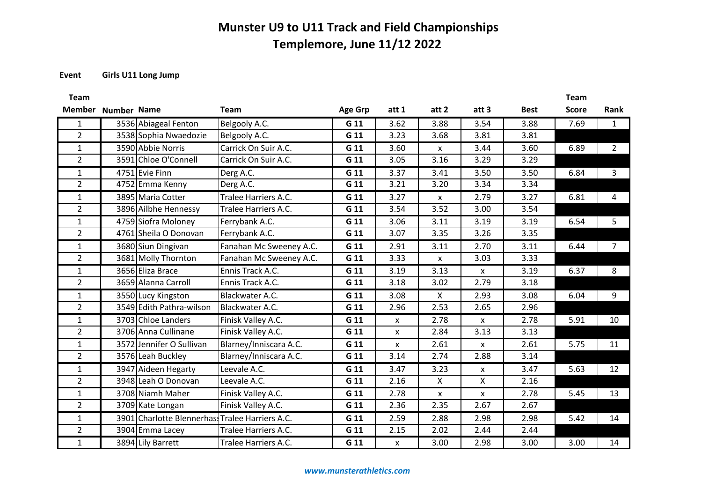#### **Event Girls U11 Long Jump**

**Team** 

| <b>Team</b>        |                                                 |                         |                |       |              |                    |             | <b>Team</b>  |                |
|--------------------|-------------------------------------------------|-------------------------|----------------|-------|--------------|--------------------|-------------|--------------|----------------|
| Member Number Name |                                                 | <b>Team</b>             | <b>Age Grp</b> | att 1 | att 2        | att 3              | <b>Best</b> | <b>Score</b> | Rank           |
| 1                  | 3536 Abiageal Fenton                            | Belgooly A.C.           | G 11           | 3.62  | 3.88         | 3.54               | 3.88        | 7.69         | $\mathbf{1}$   |
| $\overline{2}$     | 3538 Sophia Nwaedozie                           | Belgooly A.C.           | G 11           | 3.23  | 3.68         | 3.81               | 3.81        |              |                |
| $\mathbf{1}$       | 3590 Abbie Norris                               | Carrick On Suir A.C.    | G 11           | 3.60  | X            | 3.44               | 3.60        | 6.89         | $\overline{2}$ |
| $\overline{2}$     | 3591 Chloe O'Connell                            | Carrick On Suir A.C.    | G 11           | 3.05  | 3.16         | 3.29               | 3.29        |              |                |
| $\mathbf{1}$       | 4751 Evie Finn                                  | Derg A.C.               | G 11           | 3.37  | 3.41         | 3.50               | 3.50        | 6.84         | 3              |
| $\overline{2}$     | 4752 Emma Kenny                                 | Derg A.C.               | G 11           | 3.21  | 3.20         | 3.34               | 3.34        |              |                |
| $\mathbf{1}$       | 3895 Maria Cotter                               | Tralee Harriers A.C.    | G 11           | 3.27  | <b>X</b>     | 2.79               | 3.27        | 6.81         | 4              |
| $\overline{2}$     | 3896 Ailbhe Hennessy                            | Tralee Harriers A.C.    | G 11           | 3.54  | 3.52         | 3.00               | 3.54        |              |                |
| $\mathbf{1}$       | 4759 Siofra Moloney                             | Ferrybank A.C.          | G 11           | 3.06  | 3.11         | 3.19               | 3.19        | 6.54         | 5              |
| $\overline{2}$     | 4761 Sheila O Donovan                           | Ferrybank A.C.          | G 11           | 3.07  | 3.35         | 3.26               | 3.35        |              |                |
| $\mathbf{1}$       | 3680 Siun Dingivan                              | Fanahan Mc Sweeney A.C. | G 11           | 2.91  | 3.11         | 2.70               | 3.11        | 6.44         | $\overline{7}$ |
| $\overline{2}$     | 3681 Molly Thornton                             | Fanahan Mc Sweeney A.C. | G 11           | 3.33  | X            | 3.03               | 3.33        |              |                |
| $\mathbf{1}$       | 3656 Eliza Brace                                | Ennis Track A.C.        | G 11           | 3.19  | 3.13         | X                  | 3.19        | 6.37         | 8              |
| $\overline{2}$     | 3659 Alanna Carroll                             | Ennis Track A.C.        | G 11           | 3.18  | 3.02         | 2.79               | 3.18        |              |                |
| 1                  | 3550 Lucy Kingston                              | Blackwater A.C.         | G 11           | 3.08  | X            | 2.93               | 3.08        | 6.04         | 9              |
| $\overline{2}$     | 3549 Edith Pathra-wilson                        | Blackwater A.C.         | G 11           | 2.96  | 2.53         | 2.65               | 2.96        |              |                |
| 1                  | 3703 Chloe Landers                              | Finisk Valley A.C.      | G 11           | x     | 2.78         | X                  | 2.78        | 5.91         | 10             |
| $\overline{2}$     | 3706 Anna Cullinane                             | Finisk Valley A.C.      | G 11           | X     | 2.84         | 3.13               | 3.13        |              |                |
| $\mathbf{1}$       | 3572 Jennifer O Sullivan                        | Blarney/Inniscara A.C.  | G 11           | X     | 2.61         | $\pmb{\mathsf{X}}$ | 2.61        | 5.75         | 11             |
| $\overline{2}$     | 3576 Leah Buckley                               | Blarney/Inniscara A.C.  | G 11           | 3.14  | 2.74         | 2.88               | 3.14        |              |                |
| $\mathbf{1}$       | 3947 Aideen Hegarty                             | Leevale A.C.            | G 11           | 3.47  | 3.23         | X                  | 3.47        | 5.63         | 12             |
| $\overline{2}$     | 3948 Leah O Donovan                             | Leevale A.C.            | G 11           | 2.16  | $\mathsf{X}$ | $\mathsf{X}$       | 2.16        |              |                |
| $\mathbf{1}$       | 3708 Niamh Maher                                | Finisk Valley A.C.      | G 11           | 2.78  | $\mathsf{X}$ | $\pmb{\mathsf{X}}$ | 2.78        | 5.45         | 13             |
| $\overline{2}$     | 3709 Kate Longan                                | Finisk Valley A.C.      | G 11           | 2.36  | 2.35         | 2.67               | 2.67        |              |                |
| 1                  | 3901 Charlotte Blennerhass Tralee Harriers A.C. |                         | G 11           | 2.59  | 2.88         | 2.98               | 2.98        | 5.42         | 14             |
| $\overline{2}$     | 3904 Emma Lacey                                 | Tralee Harriers A.C.    | G 11           | 2.15  | 2.02         | 2.44               | 2.44        |              |                |
| $\mathbf{1}$       | 3894 Lily Barrett                               | Tralee Harriers A.C.    | G 11           | X     | 3.00         | 2.98               | 3.00        | 3.00         | 14             |

*www.munsterathletics.com*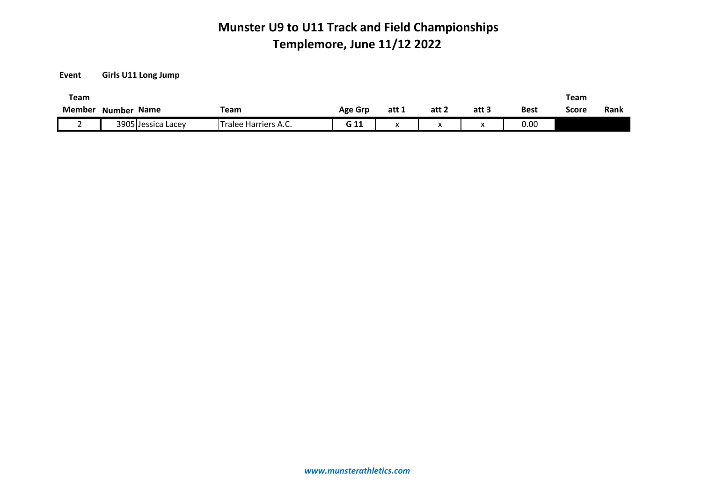**Event Girls U11 Long Jump**

| Team          |                       |                      |                |       |       |       |      | Team  |      |
|---------------|-----------------------|----------------------|----------------|-------|-------|-------|------|-------|------|
| <b>Member</b> | <b>Name</b><br>Number | <b>Team</b>          | <b>Age Grp</b> | att 1 | att 2 | att 3 | Best | Score | Rank |
|               | 3905 Jessica Lacey    | Tralee Harriers A.C. | G 11           |       | ↗     | "     | 0.00 |       |      |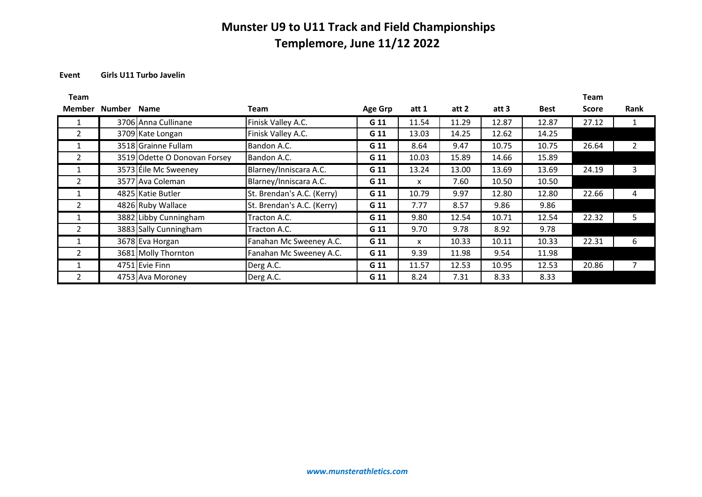#### **Event Girls U11 Turbo Javelin**

| Team           |             |                              |                            |         |              |       |       |             | <b>Team</b>  |              |
|----------------|-------------|------------------------------|----------------------------|---------|--------------|-------|-------|-------------|--------------|--------------|
| <b>Member</b>  | Number Name |                              | <b>Team</b>                | Age Grp | att 1        | att 2 | att 3 | <b>Best</b> | <b>Score</b> | <b>Rank</b>  |
|                |             | 3706 Anna Cullinane          | Finisk Valley A.C.         | G 11    | 11.54        | 11.29 | 12.87 | 12.87       | 27.12        |              |
| 2              |             | 3709 Kate Longan             | Finisk Valley A.C.         | G 11    | 13.03        | 14.25 | 12.62 | 14.25       |              |              |
|                |             | 3518 Grainne Fullam          | Bandon A.C.                | G 11    | 8.64         | 9.47  | 10.75 | 10.75       | 26.64        | $\mathbf{2}$ |
| $\overline{2}$ |             | 3519 Odette O Donovan Forsey | Bandon A.C.                | G 11    | 10.03        | 15.89 | 14.66 | 15.89       |              |              |
|                |             | 3573 Eile Mc Sweeney         | Blarney/Inniscara A.C.     | G 11    | 13.24        | 13.00 | 13.69 | 13.69       | 24.19        | 3            |
| 2              |             | 3577 Ava Coleman             | Blarney/Inniscara A.C.     | G 11    | x            | 7.60  | 10.50 | 10.50       |              |              |
|                |             | 4825 Katie Butler            | St. Brendan's A.C. (Kerry) | G 11    | 10.79        | 9.97  | 12.80 | 12.80       | 22.66        | 4            |
| 2              |             | 4826 Ruby Wallace            | St. Brendan's A.C. (Kerry) | G 11    | 7.77         | 8.57  | 9.86  | 9.86        |              |              |
|                |             | 3882 Libby Cunningham        | Tracton A.C.               | G 11    | 9.80         | 12.54 | 10.71 | 12.54       | 22.32        | 5            |
| 2              |             | 3883 Sally Cunningham        | Tracton A.C.               | G 11    | 9.70         | 9.78  | 8.92  | 9.78        |              |              |
|                |             | 3678 Eva Horgan              | Fanahan Mc Sweeney A.C.    | G 11    | $\mathsf{x}$ | 10.33 | 10.11 | 10.33       | 22.31        | 6            |
| $\mathcal{P}$  |             | 3681 Molly Thornton          | Fanahan Mc Sweeney A.C.    | G 11    | 9.39         | 11.98 | 9.54  | 11.98       |              |              |
|                |             | 4751 Evie Finn               | Derg A.C.                  | G 11    | 11.57        | 12.53 | 10.95 | 12.53       | 20.86        |              |
| 2              |             | 4753 Ava Moroney             | Derg A.C.                  | G 11    | 8.24         | 7.31  | 8.33  | 8.33        |              |              |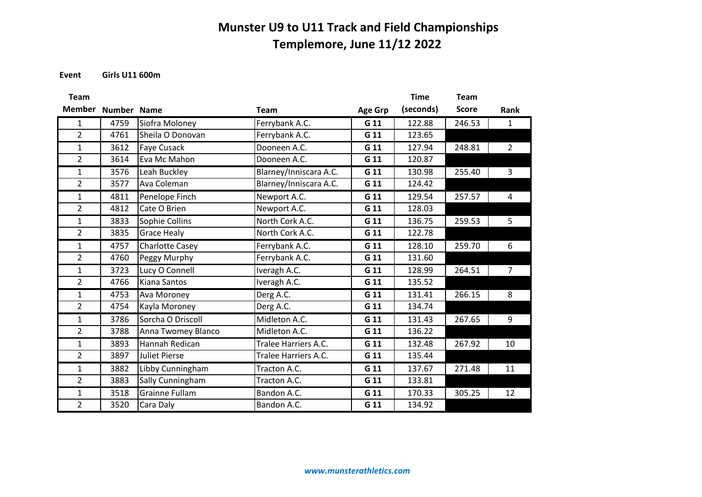**Event Girls U11 600m**

| <b>Team</b>    |                    |                        |                        |                | <b>Time</b> | <b>Team</b>  |                |
|----------------|--------------------|------------------------|------------------------|----------------|-------------|--------------|----------------|
| <b>Member</b>  | <b>Number Name</b> |                        | <b>Team</b>            | <b>Age Grp</b> | (seconds)   | <b>Score</b> | Rank           |
| $\mathbf{1}$   | 4759               | Siofra Moloney         | Ferrybank A.C.         | G 11           | 122.88      | 246.53       | $\mathbf{1}$   |
| $\overline{2}$ | 4761               | Sheila O Donovan       | Ferrybank A.C.         | G 11           | 123.65      |              |                |
| $\mathbf{1}$   | 3612               | <b>Faye Cusack</b>     | Dooneen A.C.           | G 11           | 127.94      | 248.81       | $\overline{2}$ |
| $\overline{2}$ | 3614               | Eva Mc Mahon           | Dooneen A.C.           | G 11           | 120.87      |              |                |
| $\mathbf{1}$   | 3576               | Leah Buckley           | Blarney/Inniscara A.C. | G 11           | 130.98      | 255.40       | $\overline{3}$ |
| $\overline{2}$ | 3577               | Ava Coleman            | Blarney/Inniscara A.C. | G 11           | 124.42      |              |                |
| $\mathbf{1}$   | 4811               | Penelope Finch         | Newport A.C.           | G 11           | 129.54      | 257.57       | 4              |
| $\overline{2}$ | 4812               | Cate O Brien           | Newport A.C.           | G 11           | 128.03      |              |                |
| $\mathbf{1}$   | 3833               | Sophie Collins         | North Cork A.C.        | G 11           | 136.75      | 259.53       | 5              |
| $\overline{2}$ | 3835               | <b>Grace Healy</b>     | North Cork A.C.        | G 11           | 122.78      |              |                |
| $\mathbf{1}$   | 4757               | <b>Charlotte Casey</b> | Ferrybank A.C.         | G 11           | 128.10      | 259.70       | 6              |
| $\overline{2}$ | 4760               | Peggy Murphy           | Ferrybank A.C.         | G 11           | 131.60      |              |                |
| $\mathbf{1}$   | 3723               | Lucy O Connell         | Iveragh A.C.           | G 11           | 128.99      | 264.51       | $\overline{7}$ |
| $\overline{2}$ | 4766               | <b>Kiana Santos</b>    | Iveragh A.C.           | G 11           | 135.52      |              |                |
| $\mathbf{1}$   | 4753               | Ava Moroney            | Derg A.C.              | G 11           | 131.41      | 266.15       | 8              |
| $\overline{2}$ | 4754               | Kayla Moroney          | Derg A.C.              | G 11           | 134.74      |              |                |
| $\mathbf{1}$   | 3786               | Sorcha O Driscoll      | Midleton A.C.          | G 11           | 131.43      | 267.65       | 9              |
| $\overline{2}$ | 3788               | Anna Twomey Blanco     | Midleton A.C.          | G 11           | 136.22      |              |                |
| $\mathbf{1}$   | 3893               | Hannah Redican         | Tralee Harriers A.C.   | G 11           | 132.48      | 267.92       | 10             |
| $\overline{2}$ | 3897               | <b>Juliet Pierse</b>   | Tralee Harriers A.C.   | G 11           | 135.44      |              |                |
| $\mathbf{1}$   | 3882               | Libby Cunningham       | Tracton A.C.           | G 11           | 137.67      | 271.48       | 11             |
| $\overline{2}$ | 3883               | Sally Cunningham       | Tracton A.C.           | G 11           | 133.81      |              |                |
| $\mathbf{1}$   | 3518               | <b>Grainne Fullam</b>  | Bandon A.C.            | G 11           | 170.33      | 305.25       | 12             |
| $\overline{2}$ | 3520               | Cara Daly              | Bandon A.C.            | G 11           | 134.92      |              |                |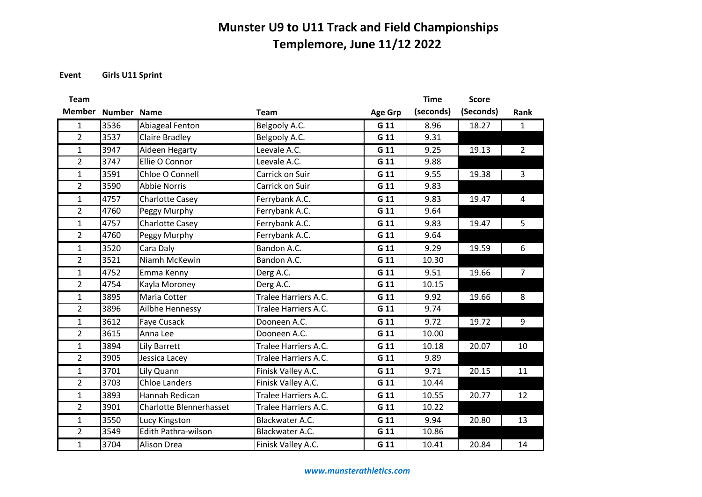**Event Girls U11 Sprint**

| <b>Team</b>    |             |                                |                      |                | <b>Time</b> | <b>Score</b> |                         |
|----------------|-------------|--------------------------------|----------------------|----------------|-------------|--------------|-------------------------|
| <b>Member</b>  | Number Name |                                | <b>Team</b>          | <b>Age Grp</b> | (seconds)   | (Seconds)    | Rank                    |
| $\mathbf{1}$   | 3536        | Abiageal Fenton                | Belgooly A.C.        | G 11           | 8.96        | 18.27        | $\mathbf{1}$            |
| $\overline{2}$ | 3537        | <b>Claire Bradley</b>          | Belgooly A.C.        | G 11           | 9.31        |              |                         |
| $\mathbf{1}$   | 3947        | Aideen Hegarty                 | Leevale A.C.         | G 11           | 9.25        | 19.13        | $\overline{2}$          |
| $\overline{2}$ | 3747        | Ellie O Connor                 | Leevale A.C.         | G 11           | 9.88        |              |                         |
| $\mathbf{1}$   | 3591        | Chloe O Connell                | Carrick on Suir      | G 11           | 9.55        | 19.38        | $\overline{3}$          |
| $\overline{2}$ | 3590        | <b>Abbie Norris</b>            | Carrick on Suir      | G 11           | 9.83        |              |                         |
| $\mathbf{1}$   | 4757        | <b>Charlotte Casey</b>         | Ferrybank A.C.       | G 11           | 9.83        | 19.47        | $\overline{\mathbf{4}}$ |
| $\overline{2}$ | 4760        | Peggy Murphy                   | Ferrybank A.C.       | G 11           | 9.64        |              |                         |
| $\mathbf{1}$   | 4757        | <b>Charlotte Casey</b>         | Ferrybank A.C.       | G 11           | 9.83        | 19.47        | 5                       |
| $\overline{2}$ | 4760        | Peggy Murphy                   | Ferrybank A.C.       | G 11           | 9.64        |              |                         |
| $\mathbf{1}$   | 3520        | Cara Daly                      | Bandon A.C.          | G 11           | 9.29        | 19.59        | 6                       |
| $\overline{2}$ | 3521        | Niamh McKewin                  | Bandon A.C.          | G 11           | 10.30       |              |                         |
| $\mathbf{1}$   | 4752        | Emma Kenny                     | Derg A.C.            | G 11           | 9.51        | 19.66        | $\overline{7}$          |
| $\overline{2}$ | 4754        | Kayla Moroney                  | Derg A.C.            | G 11           | 10.15       |              |                         |
| $\mathbf{1}$   | 3895        | Maria Cotter                   | Tralee Harriers A.C. | G 11           | 9.92        | 19.66        | 8                       |
| $\overline{2}$ | 3896        | Ailbhe Hennessy                | Tralee Harriers A.C. | G 11           | 9.74        |              |                         |
| $\mathbf{1}$   | 3612        | Faye Cusack                    | Dooneen A.C.         | G 11           | 9.72        | 19.72        | 9                       |
| $\overline{2}$ | 3615        | Anna Lee                       | Dooneen A.C.         | G 11           | 10.00       |              |                         |
| $\mathbf{1}$   | 3894        | Lily Barrett                   | Tralee Harriers A.C. | G 11           | 10.18       | 20.07        | 10                      |
| $\overline{2}$ | 3905        | Jessica Lacey                  | Tralee Harriers A.C. | G 11           | 9.89        |              |                         |
| $\mathbf{1}$   | 3701        | Lily Quann                     | Finisk Valley A.C.   | G 11           | 9.71        | 20.15        | 11                      |
| $\overline{2}$ | 3703        | <b>Chloe Landers</b>           | Finisk Valley A.C.   | G 11           | 10.44       |              |                         |
| $\mathbf{1}$   | 3893        | Hannah Redican                 | Tralee Harriers A.C. | G 11           | 10.55       | 20.77        | 12                      |
| $\overline{2}$ | 3901        | <b>Charlotte Blennerhasset</b> | Tralee Harriers A.C. | G 11           | 10.22       |              |                         |
| $\mathbf{1}$   | 3550        | Lucy Kingston                  | Blackwater A.C.      | G 11           | 9.94        | 20.80        | 13                      |
| $\overline{2}$ | 3549        | Edith Pathra-wilson            | Blackwater A.C.      | G 11           | 10.86       |              |                         |
| $\mathbf{1}$   | 3704        | <b>Alison Drea</b>             | Finisk Valley A.C.   | G 11           | 10.41       | 20.84        | 14                      |